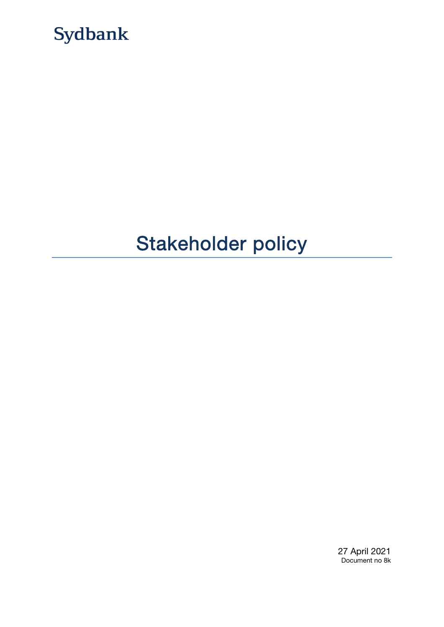

# Stakeholder policy

27 April 2021 Document no 8k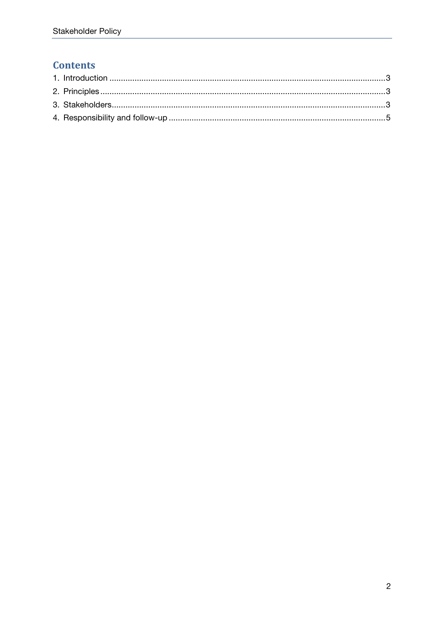## **Contents**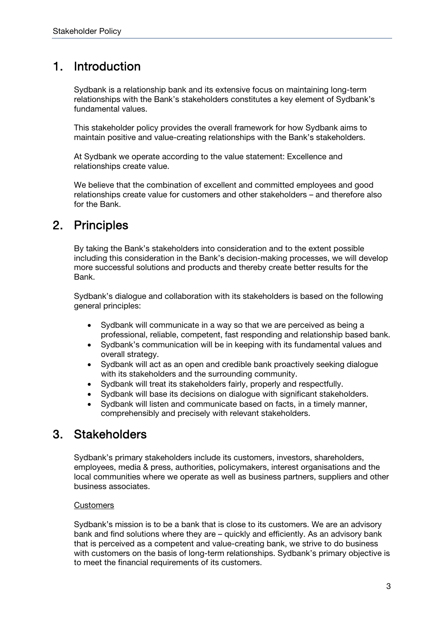## 1. Introduction

Sydbank is a relationship bank and its extensive focus on maintaining long-term relationships with the Bank's stakeholders constitutes a key element of Sydbank's fundamental values.

This stakeholder policy provides the overall framework for how Sydbank aims to maintain positive and value-creating relationships with the Bank's stakeholders.

At Sydbank we operate according to the value statement: Excellence and relationships create value.

We believe that the combination of excellent and committed employees and good relationships create value for customers and other stakeholders – and therefore also for the Bank.

## 2. Principles

By taking the Bank's stakeholders into consideration and to the extent possible including this consideration in the Bank's decision-making processes, we will develop more successful solutions and products and thereby create better results for the Bank.

Sydbank's dialogue and collaboration with its stakeholders is based on the following general principles:

- Sydbank will communicate in a way so that we are perceived as being a professional, reliable, competent, fast responding and relationship based bank.
- Sydbank's communication will be in keeping with its fundamental values and overall strategy.
- Sydbank will act as an open and credible bank proactively seeking dialogue with its stakeholders and the surrounding community.
- Sydbank will treat its stakeholders fairly, properly and respectfully.
- Sydbank will base its decisions on dialogue with significant stakeholders.
- Sydbank will listen and communicate based on facts, in a timely manner, comprehensibly and precisely with relevant stakeholders.

## 3. Stakeholders

Sydbank's primary stakeholders include its customers, investors, shareholders, employees, media & press, authorities, policymakers, interest organisations and the local communities where we operate as well as business partners, suppliers and other business associates.

### **Customers**

Sydbank's mission is to be a bank that is close to its customers. We are an advisory bank and find solutions where they are – quickly and efficiently. As an advisory bank that is perceived as a competent and value-creating bank, we strive to do business with customers on the basis of long-term relationships. Sydbank's primary objective is to meet the financial requirements of its customers.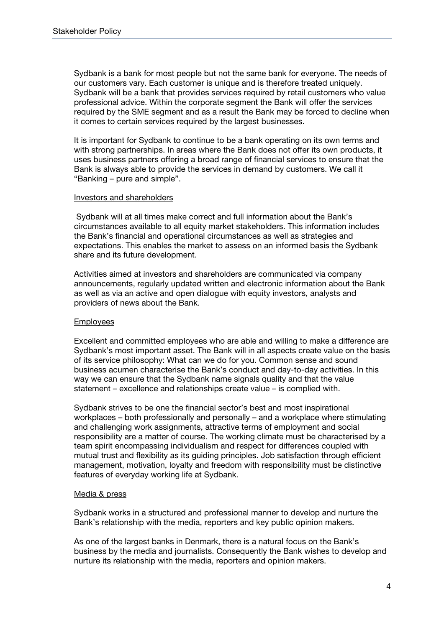Sydbank is a bank for most people but not the same bank for everyone. The needs of our customers vary. Each customer is unique and is therefore treated uniquely. Sydbank will be a bank that provides services required by retail customers who value professional advice. Within the corporate segment the Bank will offer the services required by the SME segment and as a result the Bank may be forced to decline when it comes to certain services required by the largest businesses.

It is important for Sydbank to continue to be a bank operating on its own terms and with strong partnerships. In areas where the Bank does not offer its own products, it uses business partners offering a broad range of financial services to ensure that the Bank is always able to provide the services in demand by customers. We call it "Banking – pure and simple".

#### Investors and shareholders

 Sydbank will at all times make correct and full information about the Bank's circumstances available to all equity market stakeholders. This information includes the Bank's financial and operational circumstances as well as strategies and expectations. This enables the market to assess on an informed basis the Sydbank share and its future development.

Activities aimed at investors and shareholders are communicated via company announcements, regularly updated written and electronic information about the Bank as well as via an active and open dialogue with equity investors, analysts and providers of news about the Bank.

#### Employees

Excellent and committed employees who are able and willing to make a difference are Sydbank's most important asset. The Bank will in all aspects create value on the basis of its service philosophy: What can we do for you. Common sense and sound business acumen characterise the Bank's conduct and day-to-day activities. In this way we can ensure that the Sydbank name signals quality and that the value statement – excellence and relationships create value – is complied with.

Sydbank strives to be one the financial sector's best and most inspirational workplaces – both professionally and personally – and a workplace where stimulating and challenging work assignments, attractive terms of employment and social responsibility are a matter of course. The working climate must be characterised by a team spirit encompassing individualism and respect for differences coupled with mutual trust and flexibility as its guiding principles. Job satisfaction through efficient management, motivation, loyalty and freedom with responsibility must be distinctive features of everyday working life at Sydbank.

#### Media & press

Sydbank works in a structured and professional manner to develop and nurture the Bank's relationship with the media, reporters and key public opinion makers.

As one of the largest banks in Denmark, there is a natural focus on the Bank's business by the media and journalists. Consequently the Bank wishes to develop and nurture its relationship with the media, reporters and opinion makers.